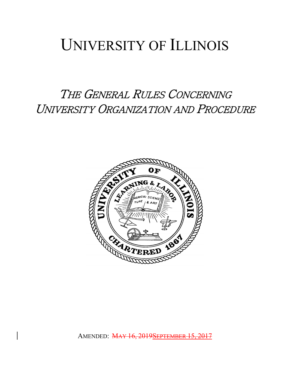# UNIVERSITY OF ILLINOIS

THE GENERAL RULES CONCERNING UNIVERSITY ORGANIZATION AND PROCEDURE

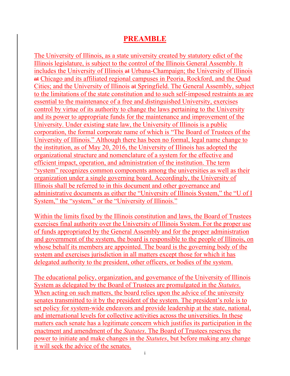# **PREAMBLE**

The University of Illinois, as a state university created by statutory edict of the Illinois legislature, is subject to the control of the Illinois General Assembly. It includes the University of Illinois at Urbana-Champaign; the University of Illinois at Chicago and its affiliated regional campuses in Peoria, Rockford, and the Quad Cities; and the University of Illinois at Springfield. The General Assembly, subject to the limitations of the state constitution and to such self-imposed restraints as are essential to the maintenance of a free and distinguished University, exercises control by virtue of its authority to change the laws pertaining to the University and its power to appropriate funds for the maintenance and improvement of the University. Under existing state law, the University of Illinois is a public corporation, the formal corporate name of which is "The Board of Trustees of the University of Illinois." Although there has been no formal, legal name change to the institution, as of May 20, 2016, the University of Illinois has adopted the organizational structure and nomenclature of a system for the effective and efficient impact, operation, and administration of the institution. The term "system" recognizes common components among the universities as well as their organization under a single governing board. Accordingly, the University of Illinois shall be referred to in this document and other governance and administrative documents as either the "University of Illinois System," the "U of I System," the "system," or the "University of Illinois."

Within the limits fixed by the Illinois constitution and laws, the Board of Trustees exercises final authority over the University of Illinois System. For the proper use of funds appropriated by the General Assembly and for the proper administration and government of the system, the board is responsible to the people of Illinois, on whose behalf its members are appointed. The board is the governing body of the system and exercises jurisdiction in all matters except those for which it has delegated authority to the president, other officers, or bodies of the system.

The educational policy, organization, and governance of the University of Illinois System as delegated by the Board of Trustees are promulgated in the *Statutes*. When acting on such matters, the board relies upon the advice of the university senates transmitted to it by the president of the system. The president's role is to set policy for system-wide endeavors and provide leadership at the state, national, and international levels for collective activities across the universities. In these matters each senate has a legitimate concern which justifies its participation in the enactment and amendment of the *Statutes*. The Board of Trustees reserves the power to initiate and make changes in the *Statutes*, but before making any change it will seek the advice of the senates.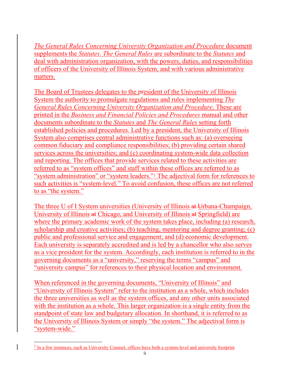*The General Rules Concerning University Organization and Procedure* document supplements the *Statutes*. *The General Rules* are subordinate to the *Statutes* and deal with administration organization, with the powers, duties, and responsibilities of officers of the University of Illinois System, and with various administrative matters.

The Board of Trustees delegates to the president of the University of Illinois System the authority to promulgate regulations and rules implementing *The General Rules Concerning University Organization and Procedure*. These are printed in the *Business and Financial Policies and Procedures* manual and other documents subordinate to the *Statutes* and *The General Rules* setting forth established policies and procedures. Led by a president, the University of Illinois System also comprises central administrative functions such as: (a) overseeing common fiduciary and compliance responsibilities; (b) providing certain shared services across the universities; and (c) coordinating system-wide data collection and reporting. The offices that provide services related to these activities are referred to as "system offices" and staff within these offices are referred to as "system administration" or "system leaders."[1](#page-2-0) The adjectival form for references to such activities is "system-level." To avoid confusion, these offices are not referred to as "the system."

The three U of I System universities (University of Illinois at Urbana-Champaign, University of Illinois at Chicago, and University of Illinois at Springfield) are where the primary academic work of the system takes place, including (a) research, scholarship and creative activities; (b) teaching, mentoring and degree granting; (c) public and professional service and engagement; and (d) economic development. Each university is separately accredited and is led by a chancellor who also serves as a vice president for the system. Accordingly, each institution is referred to in the governing documents as a "university," reserving the terms "campus" and "university campus" for references to their physical location and environment.

When referenced in the governing documents, "University of Illinois" and "University of Illinois System" refer to the institution as a whole, which includes the three universities as well as the system offices, and any other units associated with the institution as a whole. This larger organization is a single entity from the standpoint of state law and budgetary allocation. In shorthand, it is referred to as the University of Illinois System or simply "the system." The adjectival form is "system-wide."

<span id="page-2-0"></span> $<sup>1</sup>$  In a few instances, such as University Counsel, offices have both a system-level and university footprint</sup>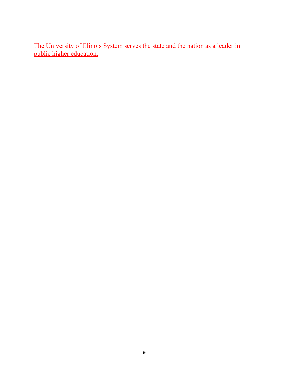The University of Illinois System serves the state and the nation as a leader in public higher education.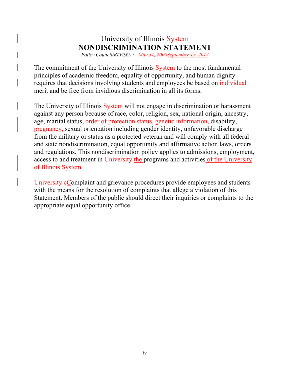# University of Illinois System **NONDISCRIMINATION STATEMENT**

*Policy Council/REVISED:* May 31, 2005 September 15,

The commitment of the University of Illinois System to the most fundamental principles of academic freedom, equality of opportunity, and human dignity requires that decisions involving students and employees be based on individual merit and be free from invidious discrimination in all its forms.

The University of Illinois System will not engage in discrimination or harassment against any person because of race, color, religion, sex, national origin, ancestry, age, marital status, order of protection status, genetic information, disability, pregnancy, sexual orientation including gender identity, unfavorable discharge from the military or status as a protected veteran and will comply with all federal and state nondiscrimination, equal opportunity and affirmative action laws, orders and regulations. This nondiscrimination policy applies to admissions, employment, access to and treatment in University the programs and activities of the University of Illinois System.

University eComplaint and grievance procedures provide employees and students with the means for the resolution of complaints that allege a violation of this Statement. Members of the public should direct their inquiries or complaints to the appropriate equal opportunity office.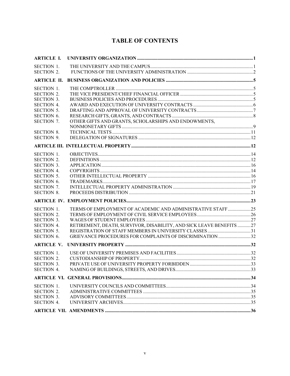# **TABLE OF CONTENTS**

| <b>ARTICLE I.</b> |                                                                     |  |
|-------------------|---------------------------------------------------------------------|--|
| <b>SECTION 1.</b> |                                                                     |  |
| <b>SECTION 2.</b> |                                                                     |  |
|                   |                                                                     |  |
| <b>SECTION 1.</b> |                                                                     |  |
| <b>SECTION 2.</b> |                                                                     |  |
| <b>SECTION 3.</b> |                                                                     |  |
| <b>SECTION 4.</b> |                                                                     |  |
| <b>SECTION 5.</b> |                                                                     |  |
| SECTION 6.        |                                                                     |  |
| SECTION 7.        | OTHER GIFTS AND GRANTS, SCHOLARSHIPS AND ENDOWMENTS,                |  |
|                   |                                                                     |  |
| <b>SECTION 8.</b> |                                                                     |  |
| <b>SECTION 9.</b> |                                                                     |  |
|                   |                                                                     |  |
| <b>SECTION 1.</b> |                                                                     |  |
| <b>SECTION 2.</b> |                                                                     |  |
| <b>SECTION 3.</b> |                                                                     |  |
| <b>SECTION 4.</b> |                                                                     |  |
| <b>SECTION 5.</b> |                                                                     |  |
| SECTION 6.        |                                                                     |  |
| <b>SECTION 7.</b> |                                                                     |  |
| <b>SECTION 8.</b> |                                                                     |  |
|                   |                                                                     |  |
| <b>SECTION 1.</b> | TERMS OF EMPLOYMENT OF ACADEMIC AND ADMINISTRATIVE STAFF25          |  |
| <b>SECTION 2.</b> |                                                                     |  |
| <b>SECTION 3.</b> |                                                                     |  |
| <b>SECTION 4.</b> | RETIREMENT, DEATH, SURVIVOR, DISABILITY, AND SICK LEAVE BENEFITS 27 |  |
| <b>SECTION 5.</b> |                                                                     |  |
| SECTION 6.        | GRIEVANCE PROCEDURES FOR COMPLAINTS OF DISCRIMINATION 32            |  |
| <b>ARTICLE V.</b> |                                                                     |  |
| <b>SECTION 1.</b> |                                                                     |  |
| <b>SECTION 2.</b> |                                                                     |  |
| <b>SECTION 3.</b> |                                                                     |  |
| SECTION 4.        |                                                                     |  |
|                   |                                                                     |  |
| SECTION 1.        |                                                                     |  |
| <b>SECTION 2.</b> |                                                                     |  |
| <b>SECTION 3.</b> |                                                                     |  |
| <b>SECTION 4.</b> |                                                                     |  |
|                   |                                                                     |  |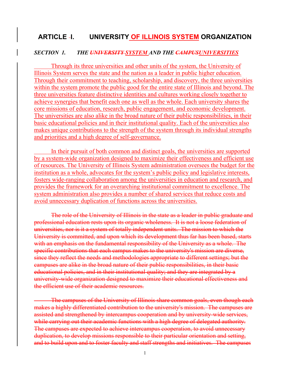# **ARTICLE I. UNIVERSITY OF ILLINOIS SYSTEM ORGANIZATION**

#### *SECTION 1. THE UNIVERSITY SYSTEM AND THE CAMPUSUNIVERSITIES*

Through its three universities and other units of the system, the University of Illinois System serves the state and the nation as a leader in public higher education. Through their commitment to teaching, scholarship, and discovery, the three universities within the system promote the public good for the entire state of Illinois and beyond. The three universities feature distinctive identities and cultures working closely together to achieve synergies that benefit each one as well as the whole. Each university shares the core missions of education, research, public engagement, and economic development. The universities are also alike in the broad nature of their public responsibilities, in their basic educational policies and in their institutional quality. Each of the universities also makes unique contributions to the strength of the system through its individual strengths and priorities and a high degree of self-governance.

In their pursuit of both common and distinct goals, the universities are supported by a system-wide organization designed to maximize their effectiveness and efficient use of resources. The University of Illinois System administration oversees the budget for the institution as a whole, advocates for the system's public policy and legislative interests, fosters wide-ranging collaboration among the universities in education and research, and provides the framework for an overarching institutional commitment to excellence. The system administration also provides a number of shared services that reduce costs and avoid unnecessary duplication of functions across the universities.

The role of the University of Illinois in the state as a leader in public graduate and professional education rests upon its organic wholeness. It is not a loose federation of universities, nor is it a system of totally independent units. The mission to which the University is committed, and upon which its development thus far has been based, starts with an emphasis on the fundamental responsibility of the University as a whole. The specific contributions that each campus makes to the university's mission are diverse, since they reflect the needs and methodologies appropriate to different settings; but the campuses are alike in the broad nature of their public responsibilities, in their basic educational policies, and in their institutional quality; and they are integrated by a university-wide organization designed to maximize their educational effectiveness and the efficient use of their academic resources.

The campuses of the University of Illinois share common goals, even though each makes a highly differentiated contribution to the university's mission. The campuses are assisted and strengthened by intercampus cooperation and by university-wide services, while carrying out their academic functions with a high degree of delegated authority. The campuses are expected to achieve intercampus cooperation, to avoid unnecessary duplication, to develop missions responsible to their particular orientation and setting, and to build upon and to foster faculty and staff strengths and initiatives. The campuses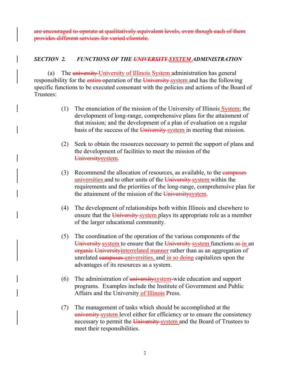are encouraged to operate at qualitatively equivalent levels, even though each of them provides different services for varied clientele.

# *SECTION 2. FUNCTIONS OF THE UNIVERSITY SYSTEM ADMINISTRATION*

(a) The university University of Illinois System administration has general responsibility for the entire operation of the University system and has the following specific functions to be executed consonant with the policies and actions of the Board of Trustees:

- (1) The enunciation of the mission of the University of Illinois  $System$ ; the development of long-range, comprehensive plans for the attainment of that mission; and the development of a plan of evaluation on a regular basis of the success of the University-system in meeting that mission.
- (2) Seek to obtain the resources necessary to permit the support of plans and the development of facilities to meet the mission of the Universitysystem.
- (3) Recommend the allocation of resources, as available, to the *campuses* universities and to other units of the University-system within the requirements and the priorities of the long-range, comprehensive plan for the attainment of the mission of the University system.
- (4) The development of relationships both within Illinois and elsewhere to ensure that the University system plays its appropriate role as a member of the larger educational community.
- (5) The coordination of the operation of the various components of the University system to ensure that the University system functions as in an organic Universityinterrelated manner rather than as an aggregation of unrelated campuses universities, and in so doing capitalizes upon the advantages of its resources as a system.
- (6) The administration of  $\frac{universitysystem}{with}$  wide education and support programs. Examples include the Institute of Government and Public Affairs and the University of Illinois Press.
- (7) The management of tasks which should be accomplished at the university system level either for efficiency or to ensure the consistency necessary to permit the University-system and the Board of Trustees to meet their responsibilities.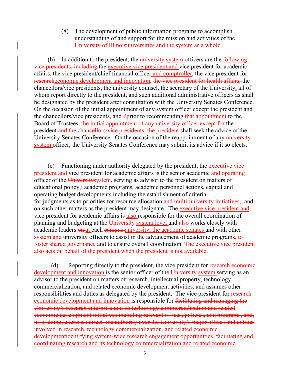(8) The development of public information programs to accomplish understanding of and support for the mission and activities of the University of Illinoisuniversities and the system as a whole.

(b) In addition to the president, the  $\frac{university\;system\;offset}{with\;of\;f}$  officers are the  $\frac{following\;total\;of\;f}$ vice presidents, including the executive vice president and vice president for academic affairs, the vice president/chief financial officer and comptroller, the vice president for researcheconomic development and innovation, the vice president for health affairs, the chancellors/vice presidents, the university counsel, the secretary of the University, all of whom report directly to the president, and such additional administrative officers as shall be designated by the president after consultation with the University Senates Conference. On the occasion of the initial appointment of any system officer except the president and the chancellors/vice presidents, and Pprior to recommending that appointment to the Board of Trustees, the initial appointment of any university officer except for the president and the chancellors/vice presidents, the president shall seek the advice of the University Senates Conference. - On the occasion of the reappointment of any university system officer, the University Senates Conference may submit its advice if it so elects.

(c) Functioning under authority delegated by the president, the executive vice president and vice president for academic affairs is the senior academic and operating officer of the University system, serving as advisor to the president on matters of educational policy, academic programs, academic personnel actions, capital and operating budget developments including the establishment of criteria for judgments as to priorities for resource allocation and multi-university initiatives, on such other matters as the president may designate. The executive vice president and vice president for academic affairs is also responsible for the overall coordination of planning and budgeting at the University-system level and also works closely with academic leaders on at each campus university, the academic senates and with other system and university officers to assist in the advancement of academic programs, to foster shared governance and to ensure overall coordination. The executive vice president also acts on behalf of the president when the president is not available.

(d) Reporting directly to the president, the vice president for research economic development and innovation is the senior officer of the University system serving as an advisor to the president on matters of research, intellectual property, technology commercialization, and related economic development activities, and assumes other responsibilities and duties as delegated by the president. The vice president for research economic development and innovation is responsible for facilitating and managing the University's research enterprise and its technology commercialization and related economic development initiatives including relevant offices, policies, and programs, and, in so doing, exercises direct line authority over the University's major offices and entities involved in research, technology commercialization, and related economic developmentidentifying system-wide research engagement opportunities, facilitating and coordinating research and its technology commercialization and related economic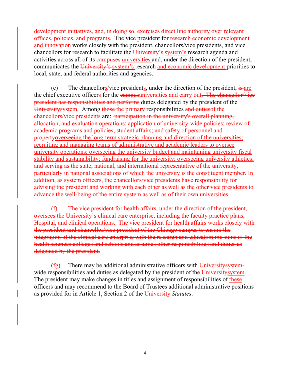development initiatives, and, in doing so, exercises direct line authority over relevant offices, policies, and programs. The vice president for research economic development and innovation works closely with the president, chancellors/vice presidents, and vice chancellors for research to facilitate the University's system's research agenda and activities across all of its campuses universities and, under the direction of the president, communicates the University's system's research and economic development priorities to local, state, and federal authorities and agencies.

(e) The chancellors/vice presidents, under the direction of the president,  $\frac{1}{15}$  are the chief executive officers for the campusuniversities and carry out. The chancellor/vice president has responsibilities and performs duties delegated by the president of the Universitysystem. Among those the primary responsibilities and duties of the chancellors/vice presidents are: -participation in the university's overall planning, allocation, and evaluation operations; application of university-wide policies; review of academic programs and policies; student affairs; and safety of personnel and propertyoverseeing the long-term strategic planning and direction of the universities; recruiting and managing teams of administrative and academic leaders to oversee university operations; overseeing the university budget and maintaining university fiscal stability and sustainability; fundraising for the university; overseeing university athletics; and serving as the state, national, and international representative of the university, particularly in national associations of which the university is the constituent member. In addition, as system officers, the chancellors/vice presidents have responsibility for advising the president and working with each other as well as the other vice presidents to advance the well-being of the entire system as well as of their own universities.

(f) The vice president for health affairs, under the direction of the president, oversees the University's clinical care enterprise, including the faculty practice plans, Hospital, and clinical operations. The vice president for health affairs works closely with the president and chancellor/vice president of the Chicago campus to ensure the integration of the clinical care enterprise with the research and education missions of the health sciences colleges and schools and assumes other responsibilities and duties as delegated by the president.

 $(f_{\mathbf{F}})$  There may be additional administrative officers with University systemwide responsibilities and duties as delegated by the president of the University system. The president may make changes in titles and assignment of responsibilities of these officers and may recommend to the Board of Trustees additional administrative positions as provided for in Article 1, Section 2 of the University *Statutes*.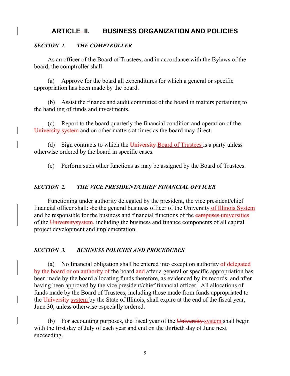# **ARTICLE II. BUSINESS ORGANIZATION AND POLICIES**

# *SECTION 1. THE COMPTROLLER*

As an officer of the Board of Trustees, and in accordance with the Bylaws of the board, the comptroller shall:

(a) Approve for the board all expenditures for which a general or specific appropriation has been made by the board.

(b) Assist the finance and audit committee of the board in matters pertaining to the handling of funds and investments.

(c) Report to the board quarterly the financial condition and operation of the University system and on other matters at times as the board may direct.

(d) Sign contracts to which the University-Board of Trustees is a party unless otherwise ordered by the board in specific cases.

(e) Perform such other functions as may be assigned by the Board of Trustees.

#### *SECTION 2. THE VICE PRESIDENT/CHIEF FINANCIAL OFFICER*

Functioning under authority delegated by the president, the vice president/chief financial officer shall: -be the general business officer of the University of Illinois System and be responsible for the business and financial functions of the campuses universities of the Universitysystem, including the business and finance components of all capital project development and implementation.

#### *SECTION 3. BUSINESS POLICIES AND PROCEDURES*

(a) No financial obligation shall be entered into except on authority  $\theta$  delegated by the board or on authority of the board and after a general or specific appropriation has been made by the board allocating funds therefore, as evidenced by its records, and after having been approved by the vice president/chief financial officer. All allocations of funds made by the Board of Trustees, including those made from funds appropriated to the University system by the State of Illinois, shall expire at the end of the fiscal year, June 30, unless otherwise especially ordered.

(b) For accounting purposes, the fiscal year of the  $\overline{University}$  system shall begin with the first day of July of each year and end on the thirtieth day of June next succeeding.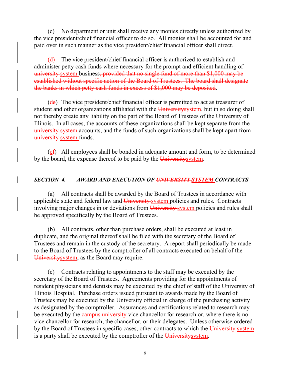(c) No department or unit shall receive any monies directly unless authorized by the vice president/chief financial officer to do so. All monies shall be accounted for and paid over in such manner as the vice president/chief financial officer shall direct.

 $(d)$ —The vice president/chief financial officer is authorized to establish and administer petty cash funds where necessary for the prompt and efficient handling of university system business, provided that no single fund of more than \$1,000 may be established without specific action of the Board of Trustees. The board shall designate the banks in which petty cash funds in excess of \$1,000 may be deposited.

 $(d<sub>e</sub>)$  The vice president/chief financial officer is permitted to act as treasurer of student and other organizations affiliated with the University system, but in so doing shall not thereby create any liability on the part of the Board of Trustees of the University of Illinois. In all cases, the accounts of these organizations shall be kept separate from the university system accounts, and the funds of such organizations shall be kept apart from university system funds.

 $(e<sub>f</sub>)$  All employees shall be bonded in adequate amount and form, to be determined by the board, the expense thereof to be paid by the University system.

## *SECTION 4. AWARD AND EXECUTION OF UNIVERSITY SYSTEM CONTRACTS*

(a) All contracts shall be awarded by the Board of Trustees in accordance with applicable state and federal law and University system policies and rules. Contracts involving major changes in or deviations from University system policies and rules shall be approved specifically by the Board of Trustees.

(b) All contracts, other than purchase orders, shall be executed at least in duplicate, and the original thereof shall be filed with the secretary of the Board of Trustees and remain in the custody of the secretary. A report shall periodically be made to the Board of Trustees by the comptroller of all contracts executed on behalf of the Universitysystem, as the Board may require.

(c) Contracts relating to appointments to the staff may be executed by the secretary of the Board of Trustees. Agreements providing for the appointments of resident physicians and dentists may be executed by the chief of staff of the University of Illinois Hospital. Purchase orders issued pursuant to awards made by the Board of Trustees may be executed by the University official in charge of the purchasing activity as designated by the comptroller. Assurances and certifications related to research may be executed by the campus university vice chancellor for research or, where there is no vice chancellor for research, the chancellor, or their delegates. Unless otherwise ordered by the Board of Trustees in specific cases, other contracts to which the University system is a party shall be executed by the comptroller of the University system.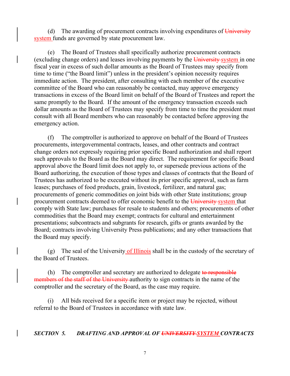(d) The awarding of procurement contracts involving expenditures of  $\overline{University}$ system funds are governed by state procurement law.

(e) The Board of Trustees shall specifically authorize procurement contracts (excluding change orders) and leases involving payments by the University system in one fiscal year in excess of such dollar amounts as the Board of Trustees may specify from time to time ("the Board limit") unless in the president's opinion necessity requires immediate action. The president, after consulting with each member of the executive committee of the Board who can reasonably be contacted, may approve emergency transactions in excess of the Board limit on behalf of the Board of Trustees and report the same promptly to the Board. If the amount of the emergency transaction exceeds such dollar amounts as the Board of Trustees may specify from time to time the president must consult with all Board members who can reasonably be contacted before approving the emergency action.

(f) The comptroller is authorized to approve on behalf of the Board of Trustees procurements, intergovernmental contracts, leases, and other contracts and contract change orders not expressly requiring prior specific Board authorization and shall report such approvals to the Board as the Board may direct. The requirement for specific Board approval above the Board limit does not apply to, or supersede previous actions of the Board authorizing, the execution of those types and classes of contracts that the Board of Trustees has authorized to be executed without its prior specific approval, such as farm leases; purchases of food products, grain, livestock, fertilizer, and natural gas; procurements of generic commodities on joint bids with other State institutions; group procurement contracts deemed to offer economic benefit to the University system that comply with State law; purchases for resale to students and others; procurements of other commodities that the Board may exempt; contracts for cultural and entertainment presentations; subcontracts and subgrants for research, gifts or grants awarded by the Board; contracts involving University Press publications; and any other transactions that the Board may specify.

(g) The seal of the University of Illinois shall be in the custody of the secretary of the Board of Trustees.

(h) The comptroller and secretary are authorized to delegate to responsible members of the staff of the University authority to sign contracts in the name of the comptroller and the secretary of the Board, as the case may require.

(i) All bids received for a specific item or project may be rejected, without referral to the Board of Trustees in accordance with state law.

#### *SECTION 5. DRAFTING AND APPROVAL OF UNIVERSITY SYSTEM CONTRACTS*

7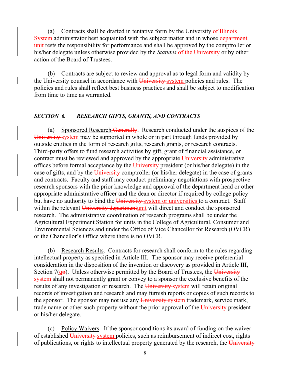(a) Contracts shall be drafted in tentative form by the University of Illinois System administrator best acquainted with the subject matter and in whose department unit rests the responsibility for performance and shall be approved by the comptroller or his/her delegate unless otherwise provided by the *Statutes* of the University or by other action of the Board of Trustees.

(b) Contracts are subject to review and approval as to legal form and validity by the University counsel in accordance with University system policies and rules. The policies and rules shall reflect best business practices and shall be subject to modification from time to time as warranted.

#### *SECTION 6. RESEARCH GIFTS, GRANTS, AND CONTRACTS*

(a) Sponsored Research Generally. Research conducted under the auspices of the University system may be supported in whole or in part through funds provided by outside entities in the form of research gifts, research grants, or research contracts. Third-party offers to fund research activities by gift, grant of financial assistance, or contract must be reviewed and approved by the appropriate University administrative offices before formal acceptance by the University president (or his/her delegate) in the case of gifts, and by the University comptroller (or his/her delegate) in the case of grants and contracts. Faculty and staff may conduct preliminary negotiations with prospective research sponsors with the prior knowledge and approval of the department head or other appropriate administrative officer and the dean or director if required by college policy but have no authority to bind the University-system or universities to a contract. Staff within the relevant University departmentunit will direct and conduct the sponsored research. The administrative coordination of research programs shall be under the Agricultural Experiment Station for units in the College of Agricultural, Consumer and Environmental Sciences and under the Office of Vice Chancellor for Research (OVCR) or the Chancellor's Office where there is no OVCR.

(b) Research Results. Contracts for research shall conform to the rules regarding intellectual property as specified in Article III. The sponsor may receive preferential consideration in the disposition of the invention or discovery as provided in Article III, Section  $7(q<sub>p</sub>)$ . Unless otherwise permitted by the Board of Trustees, the University system shall not permanently grant or convey to a sponsor the exclusive benefits of the results of any investigation or research. The University-system will retain original records of investigation and research and may furnish reports or copies of such records to the sponsor. The sponsor may not use any University system trademark, service mark, trade name or other such property without the prior approval of the University president or his/her delegate.

(c) Policy Waivers. If the sponsor conditions its award of funding on the waiver of established University system policies, such as reimbursement of indirect cost, rights of publications, or rights to intellectual property generated by the research, the  $\overline{University}$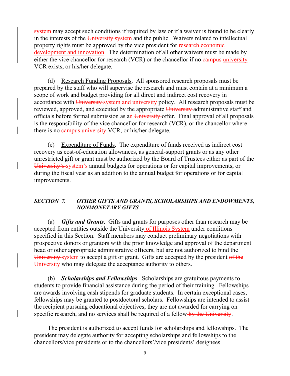system may accept such conditions if required by law or if a waiver is found to be clearly in the interests of the University-system and the public. Waivers related to intellectual property rights must be approved by the vice president for research economic development and innovation. The determination of all other waivers must be made by either the vice chancellor for research  $(VCR)$  or the chancellor if no  $\frac{1}{2}$  early university VCR exists, or his/her delegate.

(d) Research Funding Proposals. All sponsored research proposals must be prepared by the staff who will supervise the research and must contain at a minimum a scope of work and budget providing for all direct and indirect cost recovery in accordance with University-system and university policy. All research proposals must be reviewed, approved, and executed by the appropriate University administrative staff and officials before formal submission as an University offer. Final approval of all proposals is the responsibility of the vice chancellor for research (VCR), or the chancellor where there is no **campus** university VCR, or his/her delegate.

(e) Expenditure of Funds. The expenditure of funds received as indirect cost recovery as cost-of-education allowances, as general-support grants or as any other unrestricted gift or grant must be authorized by the Board of Trustees either as part of the University's system's annual budgets for operations or for capital improvements, or during the fiscal year as an addition to the annual budget for operations or for capital improvements.

#### *SECTION 7. OTHER GIFTS AND GRANTS, SCHOLARSHIPS AND ENDOWMENTS, NONMONETARY GIFTS*

(a) *Gifts and Grants*. Gifts and grants for purposes other than research may be accepted from entities outside the University of Illinois System under conditions specified in this Section. Staff members may conduct preliminary negotiations with prospective donors or grantors with the prior knowledge and approval of the department head or other appropriate administrative officers, but are not authorized to bind the University system to accept a gift or grant. Gifts are accepted by the president of the University who may delegate the acceptance authority to others.

(b) *Scholarships and Fellowships*. Scholarships are gratuitous payments to students to provide financial assistance during the period of their training. Fellowships are awards involving cash stipends for graduate students. In certain exceptional cases, fellowships may be granted to postdoctoral scholars. Fellowships are intended to assist the recipient pursuing educational objectives; they are not awarded for carrying on specific research, and no services shall be required of a fellow-by the University.

The president is authorized to accept funds for scholarships and fellowships. The president may delegate authority for accepting scholarships and fellowships to the chancellors/vice presidents or to the chancellors'/vice presidents' designees.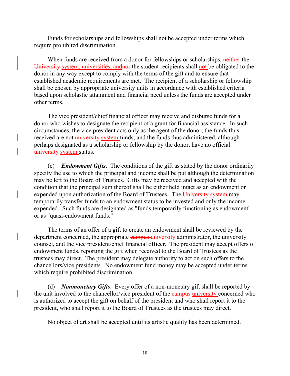Funds for scholarships and fellowships shall not be accepted under terms which require prohibited discrimination.

When funds are received from a donor for fellowships or scholarships, neither the University system, universities, and not the student recipients shall not be obligated to the donor in any way except to comply with the terms of the gift and to ensure that established academic requirements are met. The recipient of a scholarship or fellowship shall be chosen by appropriate university units in accordance with established criteria based upon scholastic attainment and financial need unless the funds are accepted under other terms.

The vice president/chief financial officer may receive and disburse funds for a donor who wishes to designate the recipient of a grant for financial assistance. In such circumstances, the vice president acts only as the agent of the donor; the funds thus received are not university system funds; and the funds thus administered, although perhaps designated as a scholarship or fellowship by the donor, have no official university system status.

(c) *Endowment Gifts*. The conditions of the gift as stated by the donor ordinarily specify the use to which the principal and income shall be put although the determination may be left to the Board of Trustees. Gifts may be received and accepted with the condition that the principal sum thereof shall be either held intact as an endowment or expended upon authorization of the Board of Trustees. The University system may temporarily transfer funds to an endowment status to be invested and only the income expended. Such funds are designated as "funds temporarily functioning as endowment" or as "quasi-endowment funds."

The terms of an offer of a gift to create an endowment shall be reviewed by the department concerned, the appropriate campus university administrator, the university counsel, and the vice president/chief financial officer. The president may accept offers of endowment funds, reporting the gift when received to the Board of Trustees as the trustees may direct. The president may delegate authority to act on such offers to the chancellors/vice presidents. No endowment fund money may be accepted under terms which require prohibited discrimination.

(d) *Nonmonetary Gifts*. Every offer of a non-monetary gift shall be reported by the unit involved to the chancellor/vice president of the earis authorized to accept the gift on behalf of the president and who shall report it to the president, who shall report it to the Board of Trustees as the trustees may direct.

No object of art shall be accepted until its artistic quality has been determined.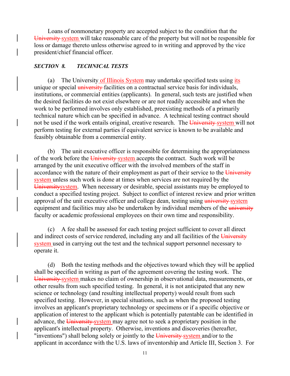Loans of nonmonetary property are accepted subject to the condition that the University system will take reasonable care of the property but will not be responsible for loss or damage thereto unless otherwise agreed to in writing and approved by the vice president/chief financial officer.

#### *SECTION 8. TECHNICAL TESTS*

(a) The University of Illinois System may undertake specified tests using its unique or special university facilities on a contractual service basis for individuals, institutions, or commercial entities (applicants). In general, such tests are justified when the desired facilities do not exist elsewhere or are not readily accessible and when the work to be performed involves only established, preexisting methods of a primarily technical nature which can be specified in advance. A technical testing contract should not be used if the work entails original, creative research. The University-system will not perform testing for external parties if equivalent service is known to be available and feasibly obtainable from a commercial entity.

(b) The unit executive officer is responsible for determining the appropriateness of the work before the University system accepts the contract. Such work will be arranged by the unit executive officer with the involved members of the staff in accordance with the nature of their employment as part of their service to the University system unless such work is done at times when services are not required by the Universitysystem. When necessary or desirable, special assistants may be employed to conduct a specified testing project. Subject to conflict of interest review and prior written approval of the unit executive officer and college dean, testing using university-system equipment and facilities may also be undertaken by individual members of the university faculty or academic professional employees on their own time and responsibility.

(c) A fee shall be assessed for each testing project sufficient to cover all direct and indirect costs of service rendered, including any and all facilities of the University system used in carrying out the test and the technical support personnel necessary to operate it.

(d) Both the testing methods and the objectives toward which they will be applied shall be specified in writing as part of the agreement covering the testing work. The University system makes no claim of ownership in observational data, measurements, or other results from such specified testing. In general, it is not anticipated that any new science or technology (and resulting intellectual property) would result from such specified testing. However, in special situations, such as when the proposed testing involves an applicant's proprietary technology or specimens or if a specific objective or application of interest to the applicant which is potentially patentable can be identified in advance, the University system may agree not to seek a proprietary position in the applicant's intellectual property. Otherwise, inventions and discoveries (hereafter, "inventions") shall belong solely or jointly to the University-system and/or to the applicant in accordance with the U.S. laws of inventorship and Article III, Section 3. For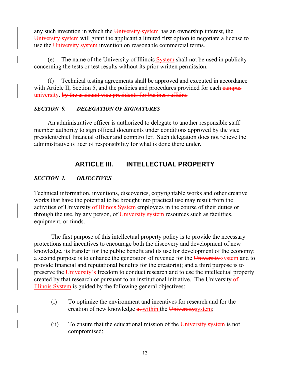any such invention in which the University-system has an ownership interest, the University system will grant the applicant a limited first option to negotiate a license to use the University-system invention on reasonable commercial terms.

(e) The name of the University of Illinois System shall not be used in publicity concerning the tests or test results without its prior written permission.

(f) Technical testing agreements shall be approved and executed in accordance with Article II, Section 5, and the policies and procedures provided for each campus university. by the assistant vice presidents for business affairs.

# *SECTION 9. DELEGATION OF SIGNATURES*

An administrative officer is authorized to delegate to another responsible staff member authority to sign official documents under conditions approved by the vice president/chief financial officer and comptroller. Such delegation does not relieve the administrative officer of responsibility for what is done there under.

# **ARTICLE III. INTELLECTUAL PROPERTY**

# *SECTION 1. OBJECTIVES*

Technical information, inventions, discoveries, copyrightable works and other creative works that have the potential to be brought into practical use may result from the activities of University of Illinois System employees in the course of their duties or through the use, by any person, of University-system resources such as facilities, equipment, or funds.

The first purpose of this intellectual property policy is to provide the necessary protections and incentives to encourage both the discovery and development of new knowledge, its transfer for the public benefit and its use for development of the economy; a second purpose is to enhance the generation of revenue for the University system and to provide financial and reputational benefits for the creator(s); and a third purpose is to preserve the University's freedom to conduct research and to use the intellectual property created by that research or pursuant to an institutional initiative. The University of Illinois System is guided by the following general objectives:

- (i) To optimize the environment and incentives for research and for the creation of new knowledge at within the University system;
- (ii) To ensure that the educational mission of the  $\overline{University}$  system is not compromised;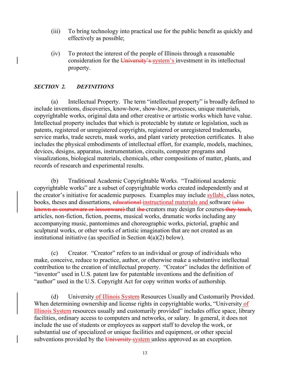- (iii) To bring technology into practical use for the public benefit as quickly and effectively as possible;
- (iv) To protect the interest of the people of Illinois through a reasonable consideration for the University's system's investment in its intellectual property.

# *SECTION 2. DEFINITIONS*

(a) Intellectual Property. The term "intellectual property" is broadly defined to include inventions, discoveries, know-how, show-how, processes, unique materials, copyrightable works, original data and other creative or artistic works which have value. Intellectual property includes that which is protectable by statute or legislation, such as patents, registered or unregistered copyrights, registered or unregistered trademarks, service marks, trade secrets, mask works, and plant variety protection certificates. It also includes the physical embodiments of intellectual effort, for example, models, machines, devices, designs, apparatus, instrumentation, circuits, computer programs and visualizations, biological materials, chemicals, other compositions of matter, plants, and records of research and experimental results.

(b) Traditional Academic Copyrightable Works. "Traditional academic copyrightable works" are a subset of copyrightable works created independently and at the creator's initiative for academic purposes. Examples may include syllabi, class notes, books, theses and dissertations, educational instructional materials and software (also known as courseware or lessonware) that the creators may design for courses they teach, articles, non-fiction, fiction, poems, musical works, dramatic works including any accompanying music, pantomimes and choreographic works, pictorial, graphic and sculptural works, or other works of artistic imagination that are not created as an institutional initiative (as specified in Section 4(a)(2) below).

(c) Creator. "Creator" refers to an individual or group of individuals who make, conceive, reduce to practice, author, or otherwise make a substantive intellectual contribution to the creation of intellectual property. "Creator" includes the definition of "inventor" used in U.S. patent law for patentable inventions and the definition of "author" used in the U.S. Copyright Act for copy written works of authorship.

(d) University of Illinois System Resources Usually and Customarily Provided. When determining ownership and license rights in copyrightable works, "University of Illinois System resources usually and customarily provided" includes office space, library facilities, ordinary access to computers and networks, or salary. In general, it does not include the use of students or employees as support staff to develop the work, or substantial use of specialized or unique facilities and equipment, or other special subventions provided by the University-system unless approved as an exception.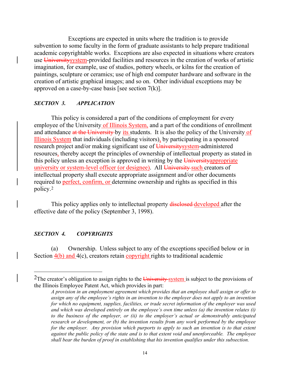Exceptions are expected in units where the tradition is to provide subvention to some faculty in the form of graduate assistants to help prepare traditional academic copyrightable works. Exceptions are also expected in situations where creators use Universitysystem-provided facilities and resources in the creation of works of artistic imagination, for example, use of studios, pottery wheels, or kilns for the creation of paintings, sculpture or ceramics; use of high end computer hardware and software in the creation of artistic graphical images; and so on. Other individual exceptions may be approved on a case-by-case basis [see section  $7(k)$ ].

#### *SECTION 3. APPLICATION*

This policy is considered a part of the conditions of employment for every employee of the University of Illinois System, and a part of the conditions of enrollment and attendance at the University by its students. It is also the policy of the University of Illinois System that individuals (including visitors), by participating in a sponsored research project and/or making significant use of University system-administered resources, thereby accept the principles of ownership of intellectual property as stated in this policy unless an exception is approved in writing by the University appropriate university or system-level officer (or designee). All University such creators of intellectual property shall execute appropriate assignment and/or other documents required to perfect, confirm, or determine ownership and rights as specified in this policy.[2](#page-19-0)

This policy applies only to intellectual property disclosed-developed after the effective date of the policy (September 3, 1998).

#### *SECTION 4. COPYRIGHTS*

(a) Ownership. Unless subject to any of the exceptions specified below or in Section  $4(b)$  and  $4(c)$ , creators retain copyright rights to traditional academic

<span id="page-19-0"></span><sup>&</sup>lt;sup>2</sup>The creator's obligation to assign rights to the  $\overline{University}$  system is subject to the provisions of the Illinois Employee Patent Act, which provides in part:

*A provision in an employment agreement which provides that an employee shall assign or offer to assign any of the employee's rights in an invention to the employer does not apply to an invention for which no equipment, supplies, facilities, or trade secret information of the employer was used and which was developed entirely on the employee's own time unless (a) the invention relates (i) to the business of the employer, or (ii) to the employer's actual or demonstrably anticipated research or development, or (b) the invention results from any work performed by the employee for the employer. Any provision which purports to apply to such an invention is to that extent against the public policy of the state and is to that extent void and unenforceable. The employee shall bear the burden of proof in establishing that his invention qualifies under this subsection.*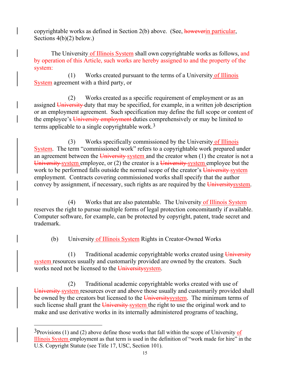copyrightable works as defined in Section 2(b) above. (See, however in particular, Sections 4(b)(2) below.)

The University of Illinois System shall own copyrightable works as follows, and by operation of this Article, such works are hereby assigned to and the property of the system:

(1) Works created pursuant to the terms of a University of Illinois System agreement with a third party, or

(2) Works created as a specific requirement of employment or as an assigned University duty that may be specified, for example, in a written job description or an employment agreement. Such specification may define the full scope or content of the employee's University employment-duties comprehensively or may be limited to terms applicable to a single copyrightable work.[3](#page-20-0)

(3) Works specifically commissioned by the University of Illinois System. The term "commissioned work" refers to a copyrightable work prepared under an agreement between the University-system and the creator when  $(1)$  the creator is not a University system employee, or (2) the creator is a University system employee but the work to be performed falls outside the normal scope of the creator's University-system employment. Contracts covering commissioned works shall specify that the author convey by assignment, if necessary, such rights as are required by the University system.

(4) Works that are also patentable. The University of Illinois System reserves the right to pursue multiple forms of legal protection concomitantly if available. Computer software, for example, can be protected by copyright, patent, trade secret and trademark.

(b) University of Illinois System Rights in Creator-Owned Works

 $(1)$  Traditional academic copyrightable works created using University system resources usually and customarily provided are owned by the creators. Such works need not be licensed to the University system.

(2) Traditional academic copyrightable works created with use of University system resources over and above those usually and customarily provided shall be owned by the creators but licensed to the University system. The minimum terms of such license shall grant the University system the right to use the original work and to make and use derivative works in its internally administered programs of teaching,

<span id="page-20-0"></span> $3$ Provisions (1) and (2) above define those works that fall within the scope of University of Illinois System employment as that term is used in the definition of "work made for hire" in the U.S. Copyright Statute (see Title 17, USC, Section 101).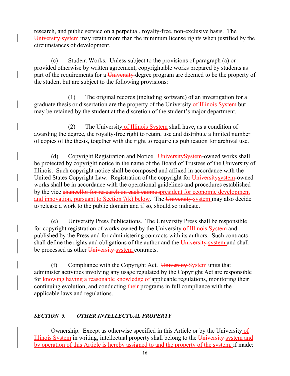research, and public service on a perpetual, royalty-free, non-exclusive basis. The University system may retain more than the minimum license rights when justified by the circumstances of development.

(c) Student Works. Unless subject to the provisions of paragraph (a) or provided otherwise by written agreement, copyrightable works prepared by students as part of the requirements for a University-degree program are deemed to be the property of the student but are subject to the following provisions:

(1) The original records (including software) of an investigation for a graduate thesis or dissertation are the property of the University of Illinois System but may be retained by the student at the discretion of the student's major department.

(2) The University of Illinois System shall have, as a condition of awarding the degree, the royalty-free right to retain, use and distribute a limited number of copies of the thesis, together with the right to require its publication for archival use.

(d) Copyright Registration and Notice. University System-owned works shall be protected by copyright notice in the name of the Board of Trustees of the University of Illinois. Such copyright notice shall be composed and affixed in accordance with the United States Copyright Law. Registration of the copyright for Universitysystem-owned works shall be in accordance with the operational guidelines and procedures established by the vice chancellor for research on each campuspresident for economic development and innovation, pursuant to Section  $7(k)$  below. The University-system may also decide to release a work to the public domain and if so, should so indicate.

(e) University Press Publications. The University Press shall be responsible for copyright registration of works owned by the University of Illinois System and published by the Press and for administering contracts with its authors. Such contracts shall define the rights and obligations of the author and the University system and shall be processed as other University system contracts.

(f) Compliance with the Copyright Act. University System units that administer activities involving any usage regulated by the Copyright Act are responsible for knowing having a reasonable knowledge of applicable regulations, monitoring their continuing evolution, and conducting their programs in full compliance with the applicable laws and regulations.

# *SECTION 5. OTHER INTELLECTUAL PROPERTY*

Ownership. Except as otherwise specified in this Article or by the University of Illinois System in writing, intellectual property shall belong to the University-system and by operation of this Article is hereby assigned to and the property of the system, if made: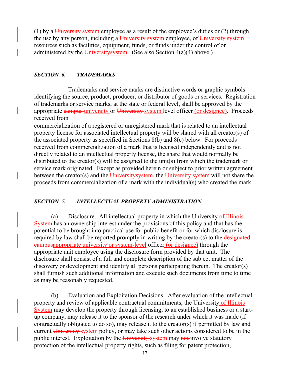(1) by a University system employee as a result of the employee's duties or  $(2)$  through the use by any person, including a University system employee, of University system resources such as facilities, equipment, funds, or funds under the control of or administered by the University system. (See also Section  $4(a)(4)$  above.)

#### *SECTION 6. TRADEMARKS*

Trademarks and service marks are distinctive words or graphic symbols identifying the source, product, producer, or distributor of goods or services. Registration of trademarks or service marks, at the state or federal level, shall be approved by the appropriate campus university or University system level officer (or designee). Proceeds received from

commercialization of a registered or unregistered mark that is related to an intellectual property license for associated intellectual property will be shared with all creator(s) of the associated property as specified in Sections 8(b) and 8(c) below. For proceeds received from commercialization of a mark that is licensed independently and is not directly related to an intellectual property license, the share that would normally be distributed to the creator(s) will be assigned to the unit(s) from which the trademark or service mark originated. Except as provided herein or subject to prior written agreement between the creator(s) and the University system, the University-system will not share the proceeds from commercialization of a mark with the individual(s) who created the mark.

#### *SECTION 7. INTELLECTUAL PROPERTY ADMINISTRATION*

(a) Disclosure. All intellectual property in which the University of Illinois System has an ownership interest under the provisions of this policy and that has the potential to be brought into practical use for public benefit or for which disclosure is required by law shall be reported promptly in writing by the creator(s) to the designated campusappropriate university or system-level officer (or designee) through the appropriate unit employee using the disclosure form provided by that unit. The disclosure shall consist of a full and complete description of the subject matter of the discovery or development and identify all persons participating therein. The creator(s) shall furnish such additional information and execute such documents from time to time as may be reasonably requested.

(b) Evaluation and Exploitation Decisions. After evaluation of the intellectual property and review of applicable contractual commitments, the University of Illinois System may develop the property through licensing, to an established business or a startup company, may release it to the sponsor of the research under which it was made (if contractually obligated to do so), may release it to the creator(s) if permitted by law and current University system policy, or may take such other actions considered to be in the public interest. Exploitation by the University system may not involve statutory protection of the intellectual property rights, such as filing for patent protection,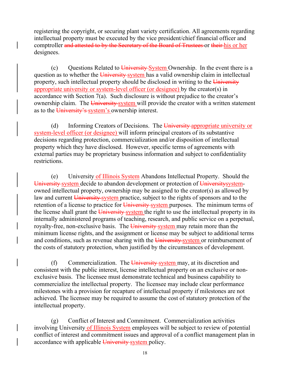registering the copyright, or securing plant variety certification. All agreements regarding intellectual property must be executed by the vice president/chief financial officer and comptroller and attested to by the Secretary of the Board of Trustees or their his or her designees.

(c) Questions Related to  $\frac{1}{2}$  University System Ownership. In the event there is a question as to whether the University system has a valid ownership claim in intellectual property, such intellectual property should be disclosed in writing to the University appropriate university or system-level officer (or designee) by the creator(s) in accordance with Section 7(a). Such disclosure is without prejudice to the creator's ownership claim. The University-system will provide the creator with a written statement as to the University's system's ownership interest.

(d) Informing Creators of Decisions. The University-appropriate university or system-level officer (or designee) will inform principal creators of its substantive decisions regarding protection, commercialization and/or disposition of intellectual property which they have disclosed. However, specific terms of agreements with external parties may be proprietary business information and subject to confidentiality restrictions.

(e) University of Illinois System Abandons Intellectual Property. Should the University system decide to abandon development or protection of University systemowned intellectual property, ownership may be assigned to the creator(s) as allowed by law and current University system practice, subject to the rights of sponsors and to the retention of a license to practice for University system purposes. The minimum terms of the license shall grant the University-system the right to use the intellectual property in its internally administered programs of teaching, research, and public service on a perpetual, royalty-free, non-exclusive basis. The University-system may retain more than the minimum license rights, and the assignment or license may be subject to additional terms and conditions, such as revenue sharing with the University-system or reimbursement of the costs of statutory protection, when justified by the circumstances of development.

(f) Commercialization. The University-system may, at its discretion and consistent with the public interest, license intellectual property on an exclusive or nonexclusive basis. The licensee must demonstrate technical and business capability to commercialize the intellectual property. The licensee may include clear performance milestones with a provision for recapture of intellectual property if milestones are not achieved. The licensee may be required to assume the cost of statutory protection of the intellectual property.

(g) Conflict of Interest and Commitment. Commercialization activities involving University of Illinois System employees will be subject to review of potential conflict of interest and commitment issues and approval of a conflict management plan in accordance with applicable University system policy.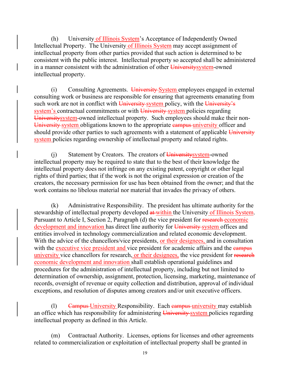(h) University of Illinois System's Acceptance of Independently Owned Intellectual Property. The University of Illinois System may accept assignment of intellectual property from other parties provided that such action is determined to be consistent with the public interest. Intellectual property so accepted shall be administered in a manner consistent with the administration of other University system-owned intellectual property.

(i) Consulting Agreements. University System employees engaged in external consulting work or business are responsible for ensuring that agreements emanating from such work are not in conflict with University-system policy, with the University's system's contractual commitments or with University-system policies regarding Universitysystem-owned intellectual property. Such employees should make their non-University system obligations known to the appropriate campus university officer and should provide other parties to such agreements with a statement of applicable  $\overline{University}$ system policies regarding ownership of intellectual property and related rights.

(i) Statement by Creators. The creators of University system-owned intellectual property may be required to state that to the best of their knowledge the intellectual property does not infringe on any existing patent, copyright or other legal rights of third parties; that if the work is not the original expression or creation of the creators, the necessary permission for use has been obtained from the owner; and that the work contains no libelous material nor material that invades the privacy of others.

(k) Administrative Responsibility. The president has ultimate authority for the stewardship of intellectual property developed at within the University of Illinois System. Pursuant to Article I, Section 2, Paragraph (d) the vice president for research economic development and innovation has direct line authority for University system offices and entities involved in technology commercialization and related economic development. With the advice of the chancellors/vice presidents, or their designees, and in consultation with the executive vice president and vice president for academic affairs and the early university vice chancellors for research, or their designees, the vice president for research economic development and innovation shall establish operational guidelines and procedures for the administration of intellectual property, including but not limited to determination of ownership, assignment, protection, licensing, marketing, maintenance of records, oversight of revenue or equity collection and distribution, approval of individual exceptions, and resolution of disputes among creators and/or unit executive officers.

(1) Campus University Responsibility. Each campus university may establish an office which has responsibility for administering University system policies regarding intellectual property as defined in this Article.

(m) Contractual Authority. Licenses, options for licenses and other agreements related to commercialization or exploitation of intellectual property shall be granted in

19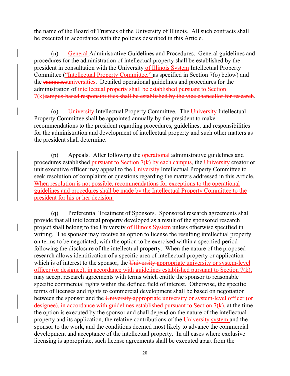the name of the Board of Trustees of the University of Illinois. All such contracts shall be executed in accordance with the policies described in this Article.

(n) General Administrative Guidelines and Procedures. General guidelines and procedures for the administration of intellectual property shall be established by the president in consultation with the University of Illinois System Intellectual Property Committee ("Intellectual Property Committee," as specified in Section 7(o) below) and the campusesuniversities. Detailed operational guidelines and procedures for the administration of intellectual property shall be established pursuant to Section 7(k)campus-based responsibilities shall be established by the vice chancellor for research.

(o) University-Intellectual Property Committee. The University-Intellectual Property Committee shall be appointed annually by the president to make recommendations to the president regarding procedures, guidelines, and responsibilities for the administration and development of intellectual property and such other matters as the president shall determine.

(p) Appeals. After following the operational administrative guidelines and procedures established pursuant to Section  $7(k)$  by each campus, the University creator or unit executive officer may appeal to the University-Intellectual Property Committee to seek resolution of complaints or questions regarding the matters addressed in this Article. When resolution is not possible, recommendations for exceptions to the operational guidelines and procedures shall be made by the Intellectual Property Committee to the president for his or her decision.

(q) Preferential Treatment of Sponsors. Sponsored research agreements shall provide that all intellectual property developed as a result of the sponsored research project shall belong to the University of Illinois System unless otherwise specified in writing. The sponsor may receive an option to license the resulting intellectual property on terms to be negotiated, with the option to be exercised within a specified period following the disclosure of the intellectual property. When the nature of the proposed research allows identification of a specific area of intellectual property or application which is of interest to the sponsor, the University appropriate university or system-level officer (or designee), in accordance with guidelines established pursuant to Section 7(k), may accept research agreements with terms which entitle the sponsor to reasonable specific commercial rights within the defined field of interest. Otherwise, the specific terms of licenses and rights to commercial development shall be based on negotiation between the sponsor and the University appropriate university or system-level officer (or designee), in accordance with guidelines established pursuant to Section 7(k), at the time the option is executed by the sponsor and shall depend on the nature of the intellectual property and its application, the relative contributions of the University-system and the sponsor to the work, and the conditions deemed most likely to advance the commercial development and acceptance of the intellectual property. In all cases where exclusive licensing is appropriate, such license agreements shall be executed apart from the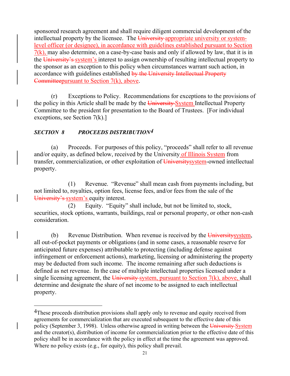sponsored research agreement and shall require diligent commercial development of the intellectual property by the licensee. The University appropriate university or systemlevel officer (or designee), in accordance with guidelines established pursuant to Section  $7(k)$ , may also determine, on a case-by-case basis and only if allowed by law, that it is in the University's system's interest to assign ownership of resulting intellectual property to the sponsor as an exception to this policy when circumstances warrant such action, in accordance with guidelines established by the University Intellectual Property Committeepursuant to Section 7(k), above.

(r) Exceptions to Policy. Recommendations for exceptions to the provisions of the policy in this Article shall be made by the University-System Intellectual Property Committee to the president for presentation to the Board of Trustees. [For individual exceptions, see Section 7(k).]

# *SECTION 8 PROCEEDS DISTRIBUTION[4](#page-26-0)*

(a) Proceeds. For purposes of this policy, "proceeds" shall refer to all revenue and/or equity, as defined below, received by the University of Illinois System from transfer, commercialization, or other exploitation of University system-owned intellectual property.

(1) Revenue. "Revenue" shall mean cash from payments including, but not limited to, royalties, option fees, license fees, and/or fees from the sale of the University's system's equity interest.

(2) Equity. "Equity" shall include, but not be limited to, stock, securities, stock options, warrants, buildings, real or personal property, or other non-cash consideration.

(b) Revenue Distribution. When revenue is received by the University system, all out-of-pocket payments or obligations (and in some cases, a reasonable reserve for anticipated future expenses) attributable to protecting (including defense against infringement or enforcement actions), marketing, licensing or administering the property may be deducted from such income. The income remaining after such deductions is defined as net revenue. In the case of multiple intellectual properties licensed under a single licensing agreement, the University-system, pursuant to Section  $7(k)$ , above, shall determine and designate the share of net income to be assigned to each intellectual property.

<span id="page-26-0"></span><sup>&</sup>lt;sup>4</sup>These proceeds distribution provisions shall apply only to revenue and equity received from agreements for commercialization that are executed subsequent to the effective date of this policy (September 3, 1998). Unless otherwise agreed in writing between the University System and the creator(s), distribution of income for commercialization prior to the effective date of this policy shall be in accordance with the policy in effect at the time the agreement was approved. Where no policy exists (e.g., for equity), this policy shall prevail.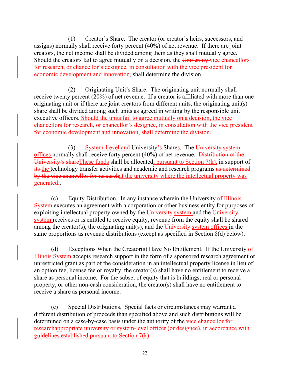(1) Creator's Share. The creator (or creator's heirs, successors, and assigns) normally shall receive forty percent (40%) of net revenue. If there are joint creators, the net income shall be divided among them as they shall mutually agree. Should the creators fail to agree mutually on a decision, the University vice chancellors for research, or chancellor's designee, in consultation with the vice president for economic development and innovation, shall determine the division.

(2) Originating Unit's Share. The originating unit normally shall receive twenty percent (20%) of net revenue. If a creator is affiliated with more than one originating unit or if there are joint creators from different units, the originating unit(s) share shall be divided among such units as agreed in writing by the responsible unit executive officers. Should the units fail to agree mutually on a decision, the vice chancellors for research, or chancellor's designee, in consultation with the vice president for economic development and innovation, shall determine the division.

(3) System-Level and University's Shares. The University system offices normally shall receive forty percent (40%) of net revenue. Distribution of the University's share These funds shall be allocated, pursuant to Section  $7(k)$ , in support of its the technology transfer activities and academic and research programs as determined by the vice chancellor for researchat the university where the intellectual property was generated..

(c) Equity Distribution. In any instance wherein the University of Illinois System executes an agreement with a corporation or other business entity for purposes of exploiting intellectual property owned by the University-system and the University system receives or is entitled to receive equity, revenue from the equity shall be shared among the creator(s), the originating unit(s), and the  $\overline{University}$ -system offices in the same proportions as revenue distributions (except as specified in Section 8(d) below).

(d) Exceptions When the Creator(s) Have No Entitlement. If the University of Illinois System accepts research support in the form of a sponsored research agreement or unrestricted grant as part of the consideration in an intellectual property license in lieu of an option fee, license fee or royalty, the creator(s) shall have no entitlement to receive a share as personal income. For the subset of equity that is buildings, real or personal property, or other non-cash consideration, the creator(s) shall have no entitlement to receive a share as personal income.

(e) Special Distributions. Special facts or circumstances may warrant a different distribution of proceeds than specified above and such distributions will be determined on a case-by-case basis under the authority of the vice chancellor for researchappropriate university or system-level officer (or designee), in accordance with guidelines established pursuant to Section 7(k).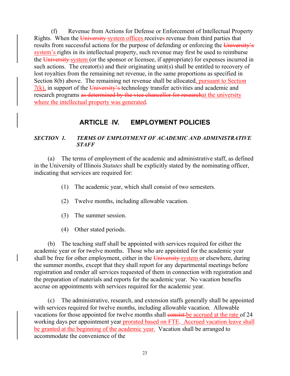(f) Revenue from Actions for Defense or Enforcement of Intellectual Property Rights. When the University-system offices receives revenue from third parties that results from successful actions for the purpose of defending or enforcing the University's system's rights in its intellectual property, such revenue may first be used to reimburse the University system (or the sponsor or licensee, if appropriate) for expenses incurred in such actions. The creator(s) and their originating unit(s) shall be entitled to recovery of lost royalties from the remaining net revenue, in the same proportions as specified in Section 8(b) above. The remaining net revenue shall be allocated, pursuant to Section  $7(k)$ , in support of the University's technology transfer activities and academic and research programs as determined by the vice chancellor for researchat the university where the intellectual property was generated.

# **ARTICLE IV. EMPLOYMENT POLICIES**

## *SECTION 1. TERMS OF EMPLOYMENT OF ACADEMIC AND ADMINISTRATIVE STAFF*

(a) The terms of employment of the academic and administrative staff, as defined in the University of Illinois *Statutes* shall be explicitly stated by the nominating officer, indicating that services are required for:

- (1) The academic year, which shall consist of two semesters.
- (2) Twelve months, including allowable vacation.
- (3) The summer session.
- (4) Other stated periods.

(b) The teaching staff shall be appointed with services required for either the academic year or for twelve months. Those who are appointed for the academic year shall be free for other employment, either in the University system or elsewhere, during the summer months, except that they shall report for any departmental meetings before registration and render all services requested of them in connection with registration and the preparation of materials and reports for the academic year. No vacation benefits accrue on appointments with services required for the academic year.

(c) The administrative, research, and extension staffs generally shall be appointed with services required for twelve months, including allowable vacation. Allowable vacations for those appointed for twelve months shall consist be accrued at the rate of 24 working days per appointment year prorated based on FTE. Accrued vacation leave shall be granted at the beginning of the academic year. Vacation shall be arranged to accommodate the convenience of the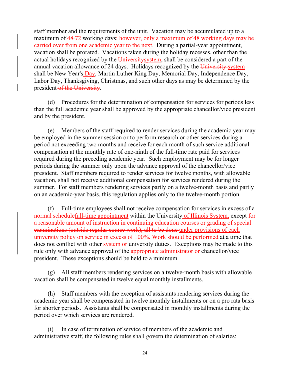staff member and the requirements of the unit. Vacation may be accumulated up to a maximum of 48 72 working days; however, only a maximum of 48 working days may be carried over from one academic year to the next. During a partial-year appointment, vacation shall be prorated. Vacations taken during the holiday recesses, other than the actual holidays recognized by the University system, shall be considered a part of the annual vacation allowance of 24 days. Holidays recognized by the University system shall be New Year's Day, Martin Luther King Day, Memorial Day, Independence Day, Labor Day, Thanksgiving, Christmas, and such other days as may be determined by the president-of the University.

(d) Procedures for the determination of compensation for services for periods less than the full academic year shall be approved by the appropriate chancellor/vice president and by the president.

(e) Members of the staff required to render services during the academic year may be employed in the summer session or to perform research or other services during a period not exceeding two months and receive for each month of such service additional compensation at the monthly rate of one-ninth of the full-time rate paid for services required during the preceding academic year. Such employment may be for longer periods during the summer only upon the advance approval of the chancellor/vice president. Staff members required to render services for twelve months, with allowable vacation, shall not receive additional compensation for services rendered during the summer. For staff members rendering services partly on a twelve-month basis and partly on an academic-year basis, this regulation applies only to the twelve-month portion.

(f) Full-time employees shall not receive compensation for services in excess of a normal schedulefull-time appointment within the University of Illinois System, except for a reasonable amount of instruction in continuing education courses or grading of special examinations (outside regular course work), all to be done under provisions of each university policy on service in excess of 100%. Work should be performed at a time that does not conflict with other **system or university duties**. Exceptions may be made to this rule only with advance approval of the appropriate administrator or chancellor/vice president. These exceptions should be held to a minimum.

(g) All staff members rendering services on a twelve-month basis with allowable vacation shall be compensated in twelve equal monthly installments.

(h) Staff members with the exception of assistants rendering services during the academic year shall be compensated in twelve monthly installments or on a pro rata basis for shorter periods. Assistants shall be compensated in monthly installments during the period over which services are rendered.

(i) In case of termination of service of members of the academic and administrative staff, the following rules shall govern the determination of salaries: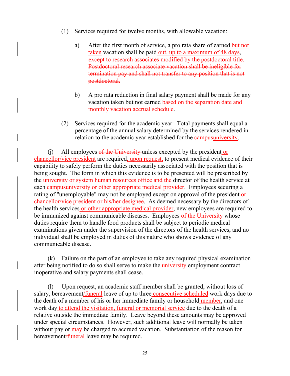- (1) Services required for twelve months, with allowable vacation:
	- a) After the first month of service, a pro rata share of earned but not taken vacation shall be paid out, up to a maximum of 48 days, except to research associates modified by the postdoctoral title. Postdoctoral research associate vacation shall be ineligible for termination pay and shall not transfer to any position that is not postdoctoral.
	- b) A pro rata reduction in final salary payment shall be made for any vacation taken but not earned based on the separation date and monthly vacation accrual schedule.
- (2) Services required for the academic year: Total payments shall equal a percentage of the annual salary determined by the services rendered in relation to the academic year established for the **campusuniversity**.

(j) All employees  $\theta$  the University unless excepted by the president or chancellor/vice president are required, upon request, to present medical evidence of their capability to safely perform the duties necessarily associated with the position that is being sought. The form in which this evidence is to be presented will be prescribed by the university or system human resources office and the director of the health service at each campusuniversity or other appropriate medical provider. Employees securing a rating of "unemployable" may not be employed except on approval of the president or chancellor/vice president or his/her designee. As deemed necessary by the directors of the health services or other appropriate medical provider, new employees are required to be immunized against communicable diseases. Employees of the University whose duties require them to handle food products shall be subject to periodic medical examinations given under the supervision of the directors of the health services, and no individual shall be employed in duties of this nature who shows evidence of any communicable disease.

(k) Failure on the part of an employee to take any required physical examination after being notified to do so shall serve to make the *university* employment contract inoperative and salary payments shall cease.

(l) Upon request, an academic staff member shall be granted, without loss of salary, bereavement/funeral leave of up to three consecutive scheduled work days due to the death of a member of his or her immediate family or household member, and one work day to attend the visitation, funeral or memorial service due to the death of a relative outside the immediate family. Leave beyond these amounts may be approved under special circumstances. However, such additional leave will normally be taken without pay or may be charged to accrued vacation. Substantiation of the reason for bereavement/funeral leave may be required.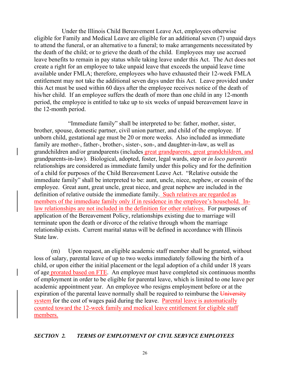Under the Illinois Child Bereavement Leave Act, employees otherwise eligible for Family and Medical Leave are eligible for an additional seven (7) unpaid days to attend the funeral, or an alternative to a funeral; to make arrangements necessitated by the death of the child; or to grieve the death of the child. Employees may use accrued leave benefits to remain in pay status while taking leave under this Act. The Act does not create a right for an employee to take unpaid leave that exceeds the unpaid leave time available under FMLA; therefore, employees who have exhausted their 12-week FMLA entitlement may not take the additional seven days under this Act. Leave provided under this Act must be used within 60 days after the employee receives notice of the death of his/her child. If an employee suffers the death of more than one child in any 12-month period, the employee is entitled to take up to six weeks of unpaid bereavement leave in the 12-month period.

"Immediate family" shall be interpreted to be: father, mother, sister, brother, spouse, domestic partner, civil union partner, and child of the employee. If unborn child, gestational age must be 20 or more weeks. Also included as immediate family are mother-, father-, brother-, sister-, son-, and daughter-in-law, as well as grandchildren and/or grandparents (includes great grandparents, great grandchildren, and grandparents-in-law). Biological, adopted, foster, legal wards, step or *in loco parentis* relationships are considered as immediate family under this policy and for the definition of a child for purposes of the Child Bereavement Leave Act. "Relative outside the immediate family" shall be interpreted to be: aunt, uncle, niece, nephew, or cousin of the employee. Great aunt, great uncle, great niece, and great nephew are included in the definition of relative outside the immediate family. Such relatives are regarded as members of the immediate family only if in residence in the employee's household. Inlaw relationships are not included in the definition for other relatives. For purposes of application of the Bereavement Policy, relationships existing due to marriage will terminate upon the death or divorce of the relative through whom the marriage relationship exists. Current marital status will be defined in accordance with Illinois State law.

(m) Upon request, an eligible academic staff member shall be granted, without loss of salary, parental leave of up to two weeks immediately following the birth of a child, or upon either the initial placement or the legal adoption of a child under 18 years of age prorated based on FTE. An employee must have completed six continuous months of employment in order to be eligible for parental leave, which is limited to one leave per academic appointment year. An employee who resigns employment before or at the expiration of the parental leave normally shall be required to reimburse the University system for the cost of wages paid during the leave. Parental leave is automatically counted toward the 12-week family and medical leave entitlement for eligible staff members.

# *SECTION 2. TERMS OF EMPLOYMENT OF CIVIL SERVICE EMPLOYEES*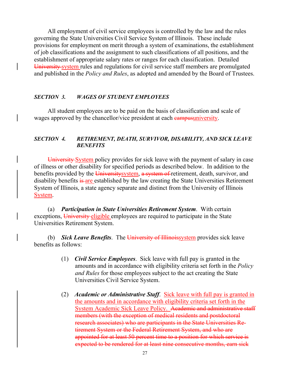All employment of civil service employees is controlled by the law and the rules governing the State Universities Civil Service System of Illinois. These include provisions for employment on merit through a system of examinations, the establishment of job classifications and the assignment to such classifications of all positions, and the establishment of appropriate salary rates or ranges for each classification. Detailed University system rules and regulations for civil service staff members are promulgated and published in the *Policy and Rules*, as adopted and amended by the Board of Trustees.

#### *SECTION 3. WAGES OF STUDENT EMPLOYEES*

All student employees are to be paid on the basis of classification and scale of wages approved by the chancellor/vice president at each **campus university**.

#### *SECTION 4. RETIREMENT, DEATH, SURVIVOR, DISABILITY, AND SICK LEAVE BENEFITS*

University System policy provides for sick leave with the payment of salary in case of illness or other disability for specified periods as described below. In addition to the benefits provided by the University system, a system of retirement, death, survivor, and disability benefits is are established by the law creating the State Universities Retirement System of Illinois, a state agency separate and distinct from the University of Illinois System.

(a) *Participation in State Universities Retirement System*. With certain exceptions, University eligible employees are required to participate in the State Universities Retirement System.

(b) *Sick Leave Benefits*. The University of Illinoissystem provides sick leave benefits as follows:

- (1) *Civil Service Employees*. Sick leave with full pay is granted in the amounts and in accordance with eligibility criteria set forth in the *Policy and Rules* for those employees subject to the act creating the State Universities Civil Service System.
- (2) *Academic or Administrative Staff*. Sick leave with full pay is granted in the amounts and in accordance with eligibility criteria set forth in the System Academic Sick Leave Policy. Academic and administrative staff members (with the exception of medical residents and postdoctoral research associates) who are participants in the State Universities Retirement System or the Federal Retirement System, and who are appointed for at least 50 percent time to a position for which service is expected to be rendered for at least nine consecutive months, earn sick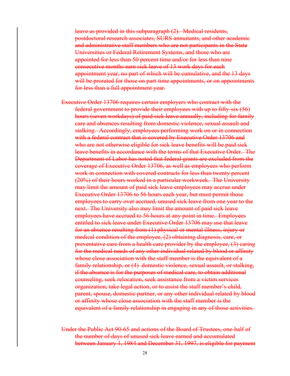leave as provided in this subparagraph (2). Medical residents, postdoctoral research associates, SURS annuitants, and other academic and administrative staff members who are not participants in the State Universities or Federal Retirement Systems, and those who are appointed for less than 50 percent time and/or for less than nine consecutive months earn sick leave of 13 work days for each appointment year, no part of which will be cumulative, and the 13 days will be prorated for those on part-time appointments, or on appointments for less than a full appointment year.

Executive Order 13706 requires certain employers who contract with the federal government to provide their employees with up to fifty-six (56) hours (seven workdays) of paid sick leave annually, including for family care and absences resulting from domestic violence, sexual assault and stalking. Accordingly, employees performing work on or in connection with a federal contract that is covered by Executive Order 13706 and who are not otherwise eligible for sick leave benefits will be paid sick leave benefits in accordance with the terms of that Executive Order. The Department of Labor has noted that federal grants are excluded from the coverage of Executive Order 13706, as well as employees who perform work in connection with covered contracts for less than twenty percent (20%) of their hours worked in a particular workweek. The University may limit the amount of paid sick leave employees may accrue under Executive Order 13706 to 56 hours each year, but must permit those employees to carry over accrued, unused sick leave from one year to the next. The University also may limit the amount of paid sick leave employees have accrued to 56 hours at any point in time. Employees entitled to sick leave under Executive Order 13706 may use that leave for an absence resulting from (1) physical or mental illness, injury or medical condition of the employee, (2) obtaining diagnosis, care, or preventative care from a health care provider by the employee, (3) caring for the medical needs of any other individual related by blood or affinity whose close association with the staff member is the equivalent of a family relationship, or (4) domestic violence, sexual assault, or stalking, if the absence is for the purposes of medical care, to obtain additional counseling, seek relocation, seek assistance from a victim services organization, take legal action, or to assist the staff member's child, parent, spouse, domestic partner, or any other individual related by blood or affinity whose close association with the staff member is the equivalent of a family relationship in engaging in any of those activities.

Under the Public Act 90-65 and actions of the Board of Trustees, one-half of the number of days of unused sick leave earned and accumulated between January 1, 1984 and December 31, 1997, is eligible for payment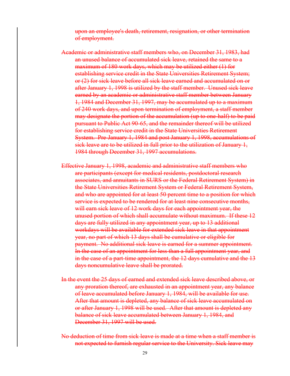upon an employee's death, retirement, resignation, or other termination of employment.

- Academic or administrative staff members who, on December 31, 1983, had an unused balance of accumulated sick leave, retained the same to a maximum of 180 work days, which may be utilized either (1) for establishing service credit in the State Universities Retirement System; or (2) for sick leave before all sick leave earned and accumulated on or after January 1, 1998 is utilized by the staff member. Unused sick leave earned by an academic or administrative staff member between January 1, 1984 and December 31, 1997, may be accumulated up to a maximum of 240 work days, and upon termination of employment, a staff member may designate the portion of the accumulation (up to one-half) to be paid pursuant to Public Act 90-65, and the remainder thereof will be utilized for establishing service credit in the State Universities Retirement System. Pre-January 1, 1984 and post January 1, 1998, accumulations of sick leave are to be utilized in full prior to the utilization of January 1, 1984 through December 31, 1997 accumulations.
- Effective January 1, 1998, academic and administrative staff members who are participants (except for medical residents, postdoctoral research associates, and annuitants in SURS or the Federal Retirement System) in the State Universities Retirement System or Federal Retirement System, and who are appointed for at least 50 percent time to a position for which service is expected to be rendered for at least nine consecutive months, will earn sick leave of 12 work days for each appointment year, the unused portion of which shall accumulate without maximum. If these 12 days are fully utilized in any appointment year, up to 13 additional workdays will be available for extended sick leave in that appointment year, no part of which 13 days shall be cumulative or eligible for payment. No additional sick leave is earned for a summer appointment. In the case of an appointment for less than a full appointment year, and in the case of a part-time appointment, the 12 days cumulative and the 13 days noncumulative leave shall be prorated.
- In the event the 25 days of earned and extended sick leave described above, or any proration thereof, are exhausted in an appointment year, any balance of leave accumulated before January 1, 1984, will be available for use. After that amount is depleted, any balance of sick leave accumulated on or after January 1, 1998 will be used. After that amount is depleted any balance of sick leave accumulated between January 1, 1984, and December 31, 1997 will be used.
- No deduction of time from sick leave is made at a time when a staff member is not expected to furnish regular service to the University. Sick leave may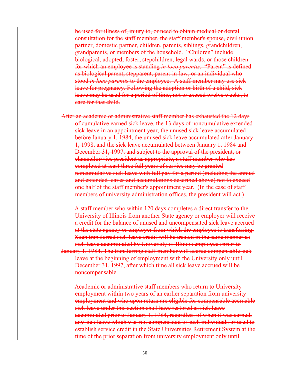be used for illness of, injury to, or need to obtain medical or dental consultation for the staff member, the staff member's spouse, civil union partner, domestic partner, children, parents, siblings, grandchildren, grandparents, or members of the household. "Children" include biological, adopted, foster, stepchildren, legal wards, or those children for which an employee is standing *in loco parentis*. "Parent" is defined as biological parent, stepparent, parent-in-law, or an individual who stood *in loco parenti*s to the employee. A staff member may use sick leave for pregnancy. Following the adoption or birth of a child, sick leave may be used for a period of time, not to exceed twelve weeks, to care for that child.

After an academic or administrative staff member has exhausted the 12 days of cumulative earned sick leave, the 13 days of noncumulative extended sick leave in an appointment year, the unused sick leave accumulated before January 1, 1984, the unused sick leave accumulated after January 1, 1998, and the sick leave accumulated between January 1, 1984 and December 31, 1997, and subject to the approval of the president, or chancellor/vice president as appropriate, a staff member who has completed at least three full years of service may be granted noncumulative sick leave with full pay for a period (including the annual and extended leaves and accumulations described above) not to exceed one half of the staff member's appointment year. (In the case of staff members of university administration offices, the president will act.)

A staff member who within 120 days completes a direct transfer to the University of Illinois from another State agency or employer will receive a credit for the balance of unused and uncompensated sick leave accrued at the state agency or employer from which the employee is transferring. Such transferred sick leave credit will be treated in the same manner as sick leave accumulated by University of Illinois employees prior to January 1, 1984. The transferring staff member will accrue compensable sick leave at the beginning of employment with the University only until December 31, 1997, after which time all sick leave accrued will be noncompensable.

Academic or administrative staff members who return to University employment within two years of an earlier separation from university employment and who upon return are eligible for compensable accruable sick leave under this section shall have restored as sick leave accumulated prior to January 1, 1984, regardless of when it was earned, any sick leave which was not compensated to such individuals or used to establish service credit in the State Universities Retirement System at the time of the prior separation from university employment only until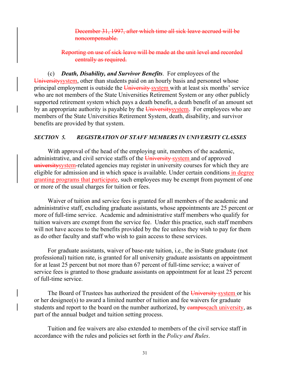December 31, 1997, after which time all sick leave accrued will be noncompensable.

Reporting on use of sick leave will be made at the unit level and recorded centrally as required.

(c) *Death, Disability, and Survivor Benefits*. For employees of the University system, other than students paid on an hourly basis and personnel whose principal employment is outside the University system with at least six months' service who are not members of the State Universities Retirement System or any other publicly supported retirement system which pays a death benefit, a death benefit of an amount set by an appropriate authority is payable by the  $\overline{University}$  system. For employees who are members of the State Universities Retirement System, death, disability, and survivor benefits are provided by that system.

#### *SECTION 5. REGISTRATION OF STAFF MEMBERS IN UNIVERSITY CLASSES*

With approval of the head of the employing unit, members of the academic, administrative, and civil service staffs of the University system and of approved universitysystem-related agencies may register in university courses for which they are eligible for admission and in which space is available. Under certain conditions in degree granting programs that participate, such employees may be exempt from payment of one or more of the usual charges for tuition or fees.

Waiver of tuition and service fees is granted for all members of the academic and administrative staff, excluding graduate assistants, whose appointments are 25 percent or more of full-time service. Academic and administrative staff members who qualify for tuition waivers are exempt from the service fee. Under this practice, such staff members will not have access to the benefits provided by the fee unless they wish to pay for them as do other faculty and staff who wish to gain access to these services.

For graduate assistants, waiver of base-rate tuition, i.e., the in-State graduate (not professional) tuition rate, is granted for all university graduate assistants on appointment for at least 25 percent but not more than 67 percent of full-time service; a waiver of service fees is granted to those graduate assistants on appointment for at least 25 percent of full-time service.

The Board of Trustees has authorized the president of the University system or his or her designee(s) to award a limited number of tuition and fee waivers for graduate students and report to the board on the number authorized, by eampuseach university, as part of the annual budget and tuition setting process.

Tuition and fee waivers are also extended to members of the civil service staff in accordance with the rules and policies set forth in the *Policy and Rules*.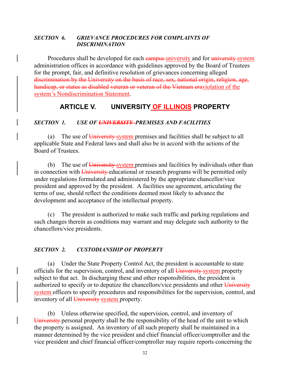#### *SECTION 6. GRIEVANCE PROCEDURES FOR COMPLAINTS OF DISCRIMINATION*

Procedures shall be developed for each campus university and for university system administration offices in accordance with guidelines approved by the Board of Trustees for the prompt, fair, and definitive resolution of grievances concerning alleged discrimination by the University on the basis of race, sex, national origin, religion, age, handicap, or status as disabled veteran or veteran of the Vietnam eraviolation of the system's Nondiscrimination Statement.

# **ARTICLE V. UNIVERSITY OF ILLINOIS PROPERTY**

#### *SECTION 1. USE OF UNIVERSITY PREMISES AND FACILITIES*

(a) The use of University system premises and facilities shall be subject to all applicable State and Federal laws and shall also be in accord with the actions of the Board of Trustees.

(b) The use of  $\overline{University}$ -system premises and facilities by individuals other than in connection with University educational or research programs will be permitted only under regulations formulated and administered by the appropriate chancellor/vice president and approved by the president. A facilities use agreement, articulating the terms of use, should reflect the conditions deemed most likely to advance the development and acceptance of the intellectual property.

(c) The president is authorized to make such traffic and parking regulations and such changes therein as conditions may warrant and may delegate such authority to the chancellors/vice presidents.

#### *SECTION 2. CUSTODIANSHIP OF PROPERTY*

(a) Under the State Property Control Act, the president is accountable to state officials for the supervision, control, and inventory of all University system property subject to that act. In discharging these and other responsibilities, the president is authorized to specify or to deputize the chancellors/vice presidents and other University system officers to specify procedures and responsibilities for the supervision, control, and inventory of all University system property.

(b) Unless otherwise specified, the supervision, control, and inventory of University personal property shall be the responsibility of the head of the unit to which the property is assigned. An inventory of all such property shall be maintained in a manner determined by the vice president and chief financial officer/comptroller and the vice president and chief financial officer/comptroller may require reports concerning the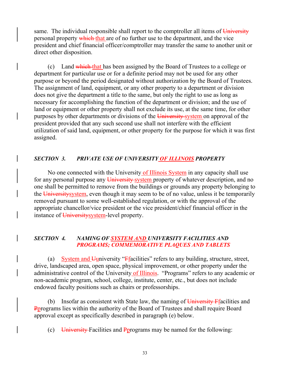same. The individual responsible shall report to the comptroller all items of  $\overline{University}$ personal property which that are of no further use to the department, and the vice president and chief financial officer/comptroller may transfer the same to another unit or direct other disposition.

(c) Land which that has been assigned by the Board of Trustees to a college or department for particular use or for a definite period may not be used for any other purpose or beyond the period designated without authorization by the Board of Trustees. The assignment of land, equipment, or any other property to a department or division does not give the department a title to the same, but only the right to use as long as necessary for accomplishing the function of the department or division; and the use of land or equipment or other property shall not exclude its use, at the same time, for other purposes by other departments or divisions of the University-system on approval of the president provided that any such second use shall not interfere with the efficient utilization of said land, equipment, or other property for the purpose for which it was first assigned.

#### *SECTION 3. PRIVATE USE OF UNIVERSITY OF ILLINOIS PROPERTY*

No one connected with the University of Illinois System in any capacity shall use for any personal purpose any University-system property of whatever description, and no one shall be permitted to remove from the buildings or grounds any property belonging to the University system, even though it may seem to be of no value, unless it be temporarily removed pursuant to some well-established regulation, or with the approval of the appropriate chancellor/vice president or the vice president/chief financial officer in the instance of University system-level property.

#### *SECTION 4. NAMING OF SYSTEM AND UNIVERSITY FACILITIES AND PROGRAMS; COMMEMORATIVE PLAQUES AND TABLETS*

(a) System and Uuniversity "Ffacilities" refers to any building, structure, street, drive, landscaped area, open space, physical improvement, or other property under the administrative control of the University of Illinois. "Programs" refers to any academic or non-academic program, school, college, institute, center, etc., but does not include endowed faculty positions such as chairs or professorships.

(b) Insofar as consistent with State law, the naming of  $\overline{University}$  Ffacilities and Pprograms lies within the authority of the Board of Trustees and shall require Board approval except as specifically described in paragraph (e) below.

(c) University-Facilities and Pprograms may be named for the following: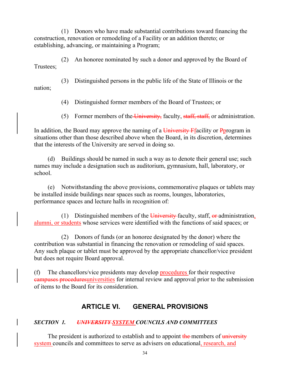(1) Donors who have made substantial contributions toward financing the construction, renovation or remodeling of a Facility or an addition thereto; or establishing, advancing, or maintaining a Program;

(2) An honoree nominated by such a donor and approved by the Board of Trustees;

(3) Distinguished persons in the public life of the State of Illinois or the nation;

(4) Distinguished former members of the Board of Trustees; or

(5) Former members of the University, faculty, staff, staff, or administration.

In addition, the Board may approve the naming of a  $\overline{University}$  Ffacility or Pprogram in situations other than those described above when the Board, in its discretion, determines that the interests of the University are served in doing so.

(d) Buildings should be named in such a way as to denote their general use; such names may include a designation such as auditorium, gymnasium, hall, laboratory, or school.

(e) Notwithstanding the above provisions, commemorative plaques or tablets may be installed inside buildings near spaces such as rooms, lounges, laboratories, performance spaces and lecture halls in recognition of:

(1) Distinguished members of the University faculty, staff,  $\theta$  administration, alumni, or students whose services were identified with the functions of said spaces; or

(2) Donors of funds (or an honoree designated by the donor) where the contribution was substantial in financing the renovation or remodeling of said spaces. Any such plaque or tablet must be approved by the appropriate chancellor/vice president but does not require Board approval.

(f) The chancellors/vice presidents may develop procedures for their respective campuses proceduresuniversities for internal review and approval prior to the submission of items to the Board for its consideration.

# **ARTICLE VI. GENERAL PROVISIONS**

# *SECTION 1. UNIVERSITY SYSTEM COUNCILS AND COMMITTEES*

The president is authorized to establish and to appoint the members of university system councils and committees to serve as advisers on educational, research, and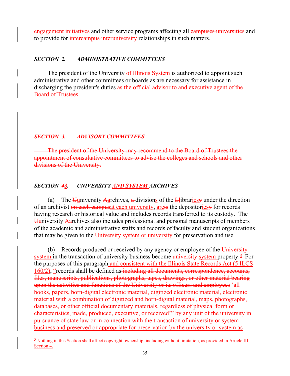engagement initiatives and other service programs affecting all campuses universities and to provide for *intercampus* interuniversity relationships in such matters.

#### *SECTION 2. ADMINISTRATIVE COMMITTEES*

The president of the University of Illinois System is authorized to appoint such administrative and other committees or boards as are necessary for assistance in discharging the president's duties as the official advisor to and executive agent of the Board of Trustees.

#### *SECTION 3. ADVISORY COMMITTEES*

The president of the University may recommend to the Board of Trustees the appointment of consultative committees to advise the colleges and schools and other divisions of the University.

## *SECTION 43. UNIVERSITY AND SYSTEM ARCHIVES*

(a) The Uuniversity Aarchives, a divisions of the Llibraries under the direction of an archivist on each campusat each university, are is the depositories for records having research or historical value and includes records transferred to its custody. The Uuniversity Aarchives also includes professional and personal manuscripts of members of the academic and administrative staffs and records of faculty and student organizations that may be given to the University-system or university for preservation and use.

(b) Records produced or received by any agency or employee of the  $\overline{University}$ system in the transaction of university business become university-system property.<sup>5</sup> For the purposes of this paragraph and consistent with the Illinois State Records Act (5 ILCS 160/2), "records shall be defined as including all documents, correspondence, accounts, files, manuscripts, publications, photographs, tapes, drawings, or other material bearing upon the activities and functions of the University or its officers and employees 'all books, papers, born-digital electronic material, digitized electronic material, electronic material with a combination of digitized and born-digital material, maps, photographs, databases, or other official documentary materials, regardless of physical form or characteristics, made, produced, executive, or received'" by any unit of the university in pursuance of state law or in connection with the transaction of university or system business and preserved or appropriate for preservation by the university or system as

<span id="page-40-0"></span> $<sup>5</sup>$  Nothing in this Section shall affect copyright ownership, including without limitation, as provided in Article III,</sup> Section 4.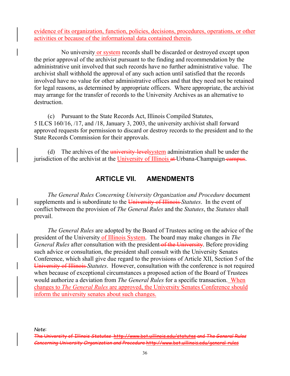evidence of its organization, function, policies, decisions, procedures, operations, or other activities or because of the informational data contained therein.

No university or system records shall be discarded or destroyed except upon the prior approval of the archivist pursuant to the finding and recommendation by the administrative unit involved that such records have no further administrative value. The archivist shall withhold the approval of any such action until satisfied that the records involved have no value for other administrative offices and that they need not be retained for legal reasons, as determined by appropriate officers. Where appropriate, the archivist may arrange for the transfer of records to the University Archives as an alternative to destruction.

(c) Pursuant to the State Records Act, Illinois Compiled Statutes, 5 ILCS 160/16, /17, and /18, January 3, 2003, the university archivist shall forward approved requests for permission to discard or destroy records to the president and to the State Records Commission for their approvals.

(d) The archives of the *university-levelsystem administration shall be under the* jurisdiction of the archivist at the University of Illinois at Urbana-Champaign-campus.

# **ARTICLE VII. AMENDMENTS**

*The General Rules Concerning University Organization and Procedure* document supplements and is subordinate to the University of Illinois *Statutes*. In the event of conflict between the provision of *The General Rules* and the *Statutes*, the *Statutes* shall prevail.

*The General Rules* are adopted by the Board of Trustees acting on the advice of the president of the University of Illinois System. The board may make changes in *The General Rules* after consultation with the president of the University. Before providing such advice or consultation, the president shall consult with the University Senates Conference, which shall give due regard to the provisions of Article XII, Section 5 of the University of Illinois *Statutes*. However, consultation with the conference is not required when because of exceptional circumstances a proposed action of the Board of Trustees would authorize a deviation from *The General Rules* for a specific transaction. When changes to *The General Rules* are approved, the University Senates Conference should inform the university senates about such changes.

*Note*:

The University of Illinois *Statutes* http://www.bot.uillinois.edu/statutes and *The General Rules Concerning University Organization and Procedure* <http://www.bot.uillinois.edu/general-rules>